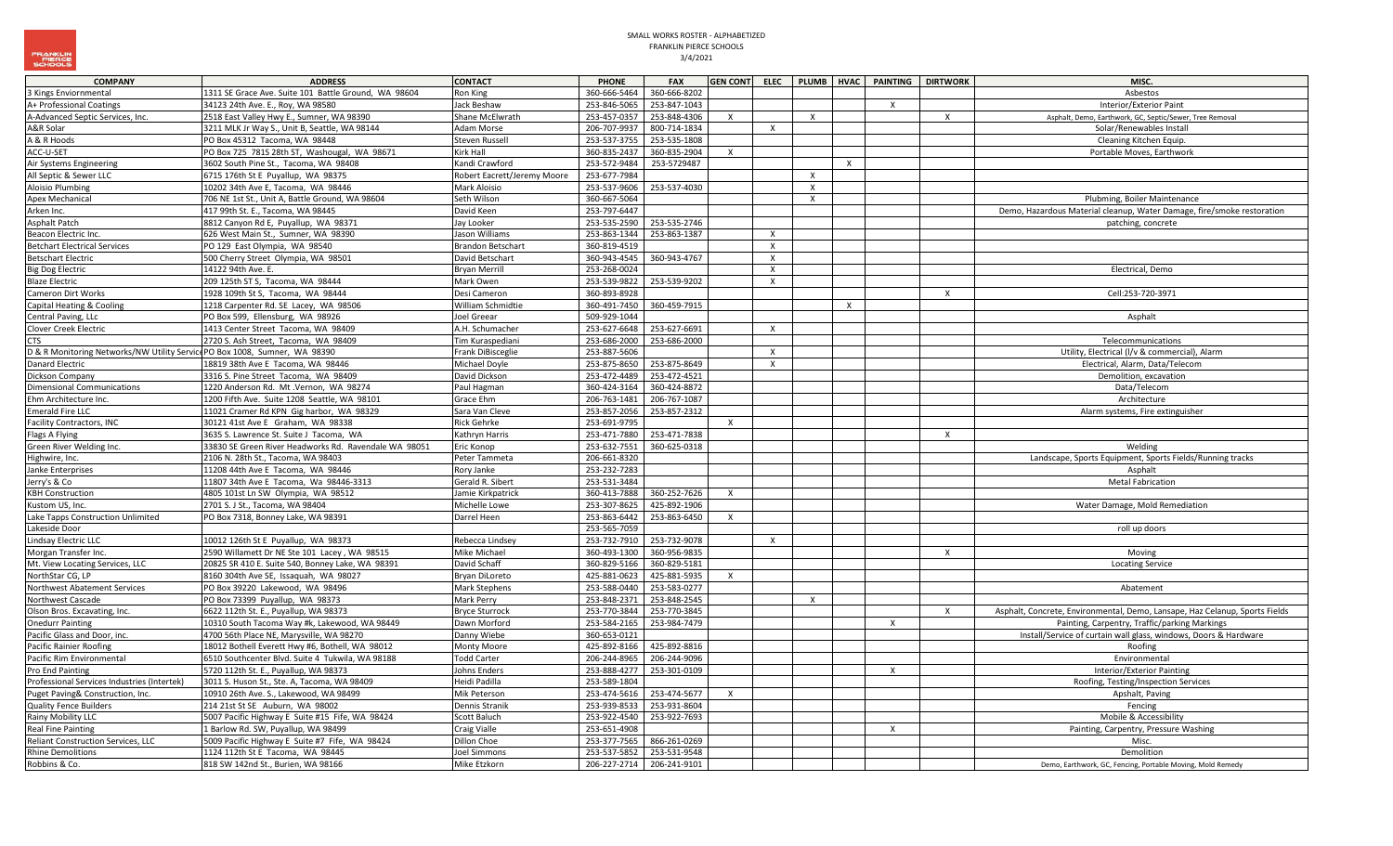

## SMALL WORKS ROSTER - ALPHABETIZED FRANKLIN PIERCE SCHOOLS 3/4/2021

| <b>COMPANY</b>                                                             | <b>ADDRESS</b>                                        | <b>CONTACT</b>              | <b>PHONE</b>              | <b>FAX</b>   | <b>GEN CONT</b> | <b>ELEC</b>               |                           |          | PLUMB HVAC PAINTING DIRTWORK |                           | MISC.                                                                       |
|----------------------------------------------------------------------------|-------------------------------------------------------|-----------------------------|---------------------------|--------------|-----------------|---------------------------|---------------------------|----------|------------------------------|---------------------------|-----------------------------------------------------------------------------|
| 3 Kings Enviornmental                                                      | 1311 SE Grace Ave. Suite 101 Battle Ground, WA 98604  | Ron King                    | 360-666-5464              | 360-666-8202 |                 |                           |                           |          |                              |                           | Asbestos                                                                    |
| A+ Professional Coatings                                                   | 34123 24th Ave. E., Roy, WA 98580                     | Jack Beshaw                 | 253-846-5065 253-847-1043 |              |                 |                           |                           |          | $\mathsf{x}$                 |                           | Interior/Exterior Paint                                                     |
| A-Advanced Septic Services, Inc.                                           | 2518 East Valley Hwy E., Sumner, WA 98390             | Shane McElwrath             | 253-457-0357              | 253-848-4306 | $\times$        |                           | $\mathsf{X}$              |          |                              | $\times$                  | Asphalt, Demo, Earthwork, GC, Septic/Sewer, Tree Removal                    |
| A&R Solar                                                                  | 3211 MLK Jr Way S., Unit B, Seattle, WA 98144         | Adam Morse                  | 206-707-9937              | 800-714-1834 |                 | $\mathsf{x}$              |                           |          |                              |                           | Solar/Renewables Install                                                    |
| A & R Hoods                                                                | PO Box 45312 Tacoma, WA 98448                         | Steven Russell              | 253-537-3755              | 253-535-1808 |                 |                           |                           |          |                              |                           | Cleaning Kitchen Equip.                                                     |
| ACC-U-SET                                                                  | PO Box 725 781S 28th ST, Washougal, WA 98671          | Kirk Hall                   | 360-835-2437              | 360-835-2904 | X               |                           |                           |          |                              |                           | Portable Moves, Earthwork                                                   |
| Air Systems Engineering                                                    | 3602 South Pine St., Tacoma, WA 98408                 | Kandi Crawford              | 253-572-9484              | 253-5729487  |                 |                           |                           | $\times$ |                              |                           |                                                                             |
| All Septic & Sewer LLC                                                     | 6715 176th St E Puyallup, WA 98375                    | Robert Eacrett/Jeremy Moore | 253-677-7984              |              |                 |                           | X                         |          |                              |                           |                                                                             |
| <b>Aloisio Plumbing</b>                                                    | 10202 34th Ave E, Tacoma, WA 98446                    | Mark Aloisio                | 253-537-9606              | 253-537-4030 |                 |                           | $\boldsymbol{\mathsf{x}}$ |          |                              |                           |                                                                             |
| <b>Apex Mechanical</b>                                                     | 706 NE 1st St., Unit A, Battle Ground, WA 98604       | Seth Wilson                 | 360-667-5064              |              |                 |                           | X                         |          |                              |                           | Plubming, Boiler Maintenance                                                |
| Arken Inc.                                                                 | 417 99th St. E., Tacoma, WA 98445                     | David Keen                  | 253-797-6447              |              |                 |                           |                           |          |                              |                           | Demo, Hazardous Material cleanup, Water Damage, fire/smoke restoration      |
| <b>Asphalt Patch</b>                                                       | 8812 Canyon Rd E, Puyallup, WA 98371                  | Jay Looker                  | 253-535-2590              | 253-535-2746 |                 |                           |                           |          |                              |                           | patching, concrete                                                          |
| Beacon Electric Inc.                                                       | 626 West Main St., Sumner, WA 98390                   | Jason Williams              | 253-863-1344              | 253-863-1387 |                 | $\mathsf{x}$              |                           |          |                              |                           |                                                                             |
| <b>Betchart Electrical Services</b>                                        | PO 129 East Olympia, WA 98540                         | <b>Brandon Betschart</b>    | 360-819-4519              |              |                 | $\boldsymbol{\mathsf{X}}$ |                           |          |                              |                           |                                                                             |
| <b>Betschart Electric</b>                                                  | 500 Cherry Street Olympia, WA 98501                   | David Betschart             | 360-943-4545              | 360-943-4767 |                 | $\boldsymbol{\mathsf{X}}$ |                           |          |                              |                           |                                                                             |
| <b>Big Dog Electric</b>                                                    | 14122 94th Ave. E.                                    | <b>Brvan Merrill</b>        | 253-268-0024              |              |                 | $\mathsf{X}$              |                           |          |                              |                           | Electrical. Demo                                                            |
| <b>Blaze Electric</b>                                                      | 209 125th ST S, Tacoma, WA 98444                      | Mark Owen                   | 253-539-9822 253-539-9202 |              |                 | $\boldsymbol{\mathsf{x}}$ |                           |          |                              |                           |                                                                             |
| <b>Cameron Dirt Works</b>                                                  | 1928 109th St S. Tacoma. WA 98444                     | Desi Cameron                | 360-893-8928              |              |                 |                           |                           |          |                              | $\times$                  | Cell:253-720-3971                                                           |
| Capital Heating & Cooling                                                  | 1218 Carpenter Rd. SE Lacey, WA 98506                 | William Schmidtie           | 360-491-7450              | 360-459-7915 |                 |                           |                           | $\times$ |                              |                           |                                                                             |
| Central Paving, LLc                                                        | PO Box 599, Ellensburg, WA 98926                      | <b>Joel Greear</b>          | 509-929-1044              |              |                 |                           |                           |          |                              |                           | Asphalt                                                                     |
| <b>Clover Creek Electric</b>                                               | 1413 Center Street Tacoma, WA 98409                   | A.H. Schumacher             | 253-627-6648 253-627-6691 |              |                 | $\mathsf{X}$              |                           |          |                              |                           |                                                                             |
| <b>CTS</b>                                                                 | 2720 S. Ash Street, Tacoma, WA 98409                  | Tim Kuraspediani            | 253-686-2000              | 253-686-2000 |                 |                           |                           |          |                              |                           | Telecommunications                                                          |
| D & R Monitoring Networks/NW Utility Service PO Box 1008, Sumner, WA 98390 |                                                       | Frank DiBisceglie           | 253-887-5606              |              |                 | $\mathsf{x}$              |                           |          |                              |                           | Utility, Electrical (I/v & commercial), Alarm                               |
| Danard Electric                                                            | 18819 38th Ave E Tacoma, WA 98446                     | <b>Michael Doyle</b>        | 253-875-8650              | 253-875-8649 |                 | $\mathsf{x}$              |                           |          |                              |                           | Electrical, Alarm, Data/Telecom                                             |
| Dickson Company                                                            | 3316 S. Pine Street Tacoma, WA 98409                  | David Dickson               | 253-472-4489              | 253-472-4521 |                 |                           |                           |          |                              |                           | Demolition, excavation                                                      |
| <b>Dimensional Communications</b>                                          | 1220 Anderson Rd. Mt .Vernon, WA 98274                | Paul Hagman                 | 360-424-3164              | 360-424-8872 |                 |                           |                           |          |                              |                           | Data/Telecom                                                                |
| Ehm Architecture Inc.                                                      | 1200 Fifth Ave. Suite 1208 Seattle, WA 98101          | Grace Ehm                   | 206-763-1481 206-767-1087 |              |                 |                           |                           |          |                              |                           | Architecture                                                                |
| <b>Emerald Fire LLC</b>                                                    | 11021 Cramer Rd KPN Gig harbor, WA 98329              | Sara Van Cleve              | 253-857-2056              | 253-857-2312 |                 |                           |                           |          |                              |                           | Alarm systems, Fire extinguisher                                            |
| <b>Facility Contractors, INC</b>                                           | 30121 41st Ave E Graham, WA 98338                     | <b>Rick Gehrke</b>          | 253-691-9795              |              | $\times$        |                           |                           |          |                              |                           |                                                                             |
| Flags A Flying                                                             | 3635 S. Lawrence St. Suite J Tacoma, WA               | Kathryn Harris              | 253-471-7880              | 253-471-7838 |                 |                           |                           |          |                              | $\boldsymbol{\mathsf{X}}$ |                                                                             |
| Green River Welding Inc.                                                   | 33830 SE Green River Headworks Rd. Ravendale WA 98051 | Eric Konop                  | 253-632-7551              | 360-625-0318 |                 |                           |                           |          |                              |                           | Welding                                                                     |
| Highwire, Inc.                                                             | 2106 N. 28th St., Tacoma, WA 98403                    | Peter Tammeta               | 206-661-8320              |              |                 |                           |                           |          |                              |                           | Landscape, Sports Equipment, Sports Fields/Running tracks                   |
| Janke Enterprises                                                          | 11208 44th Ave E Tacoma, WA 98446                     | Rory Janke                  | 253-232-7283              |              |                 |                           |                           |          |                              |                           | Asphalt                                                                     |
| Jerry's & Co                                                               | 11807 34th Ave E Tacoma, Wa 98446-3313                | Gerald R. Sibert            | 253-531-3484              |              |                 |                           |                           |          |                              |                           | <b>Metal Fabrication</b>                                                    |
| <b>KBH Construction</b>                                                    | 4805 101st Ln SW Olympia, WA 98512                    | Jamie Kirkpatrick           | 360-413-7888              | 360-252-7626 | x               |                           |                           |          |                              |                           |                                                                             |
| Kustom US, Inc.                                                            | 2701 S. J St., Tacoma, WA 98404                       | Michelle Lowe               | 253-307-8625              | 425-892-1906 |                 |                           |                           |          |                              |                           | Water Damage, Mold Remediation                                              |
| Lake Tapps Construction Unlimited                                          | PO Box 7318, Bonney Lake, WA 98391                    | Darrel Heen                 | 253-863-6442              | 253-863-6450 | X               |                           |                           |          |                              |                           |                                                                             |
| Lakeside Door                                                              |                                                       |                             | 253-565-7059              |              |                 |                           |                           |          |                              |                           | roll up doors                                                               |
| Lindsay Electric LLC                                                       | 10012 126th St E Puyallup, WA 98373                   | Rebecca Lindsey             | 253-732-7910              | 253-732-9078 |                 | X                         |                           |          |                              |                           |                                                                             |
| Morgan Transfer Inc.                                                       | 2590 Willamett Dr NE Ste 101 Lacey, WA 98515          | Mike Michael                | 360-493-1300              | 360-956-9835 |                 |                           |                           |          |                              | $\mathsf{x}$              | Moving                                                                      |
| Mt. View Locating Services, LLC                                            | 20825 SR 410 E. Suite 540, Bonney Lake, WA 98391      | David Schaff                | 360-829-5166              | 360-829-5181 |                 |                           |                           |          |                              |                           | <b>Locating Service</b>                                                     |
| NorthStar CG, LP                                                           | 8160 304th Ave SE, Issaquah, WA 98027                 | <b>Bryan DiLoreto</b>       | 425-881-0623              | 425-881-5935 | $\times$        |                           |                           |          |                              |                           |                                                                             |
| Northwest Abatement Services                                               | PO Box 39220 Lakewood, WA 98496                       | <b>Mark Stephens</b>        | 253-588-0440              | 253-583-0277 |                 |                           |                           |          |                              |                           | Abatement                                                                   |
| Northwest Cascade                                                          | PO Box 73399 Puyallup, WA 98373                       | Mark Perry                  | 253-848-2371              | 253-848-2545 |                 |                           | $\times$                  |          |                              |                           |                                                                             |
| Olson Bros. Excavating, Inc.                                               | 6622 112th St. E., Puyallup, WA 98373                 | <b>Bryce Sturrock</b>       | 253-770-3844 253-770-3845 |              |                 |                           |                           |          |                              | X                         | Asphalt, Concrete, Environmental, Demo, Lansape, Haz Celanup, Sports Fields |
| <b>Onedurr Painting</b>                                                    | 10310 South Tacoma Way #k, Lakewood, WA 98449         | Dawn Morford                | 253-584-2165              | 253-984-7479 |                 |                           |                           |          | $\boldsymbol{\mathsf{x}}$    |                           | Painting, Carpentry, Traffic/parking Markings                               |
| Pacific Glass and Door, inc.                                               | 4700 56th Place NE, Marysville, WA 98270              | Danny Wiebe                 | 360-653-0121              |              |                 |                           |                           |          |                              |                           | Install/Service of curtain wall glass, windows, Doors & Hardware            |
| <b>Pacific Rainier Roofing</b>                                             | 18012 Bothell Everett Hwy #6, Bothell, WA 98012       | Monty Moore                 | 425-892-8166 425-892-8816 |              |                 |                           |                           |          |                              |                           | Roofing                                                                     |
| Pacific Rim Environmental                                                  | 6510 Southcenter Blvd. Suite 4 Tukwila, WA 98188      | <b>Todd Carter</b>          | 206-244-8965              | 206-244-9096 |                 |                           |                           |          |                              |                           | Environmental                                                               |
| Pro End Painting                                                           | 5720 112th St. E., Puyallup, WA 98373                 | Johns Enders                | 253-888-4277              | 253-301-0109 |                 |                           |                           |          | $\boldsymbol{\mathsf{X}}$    |                           | Interior/Exterior Painting                                                  |
| Professional Services Industries (Intertek)                                | 3011 S. Huson St., Ste. A. Tacoma, WA 98409           | Heidi Padilla               | 253-589-1804              |              |                 |                           |                           |          |                              |                           | Roofing, Testing/Inspection Services                                        |
| Puget Paving& Construction, Inc.                                           | 10910 26th Ave. S., Lakewood, WA 98499                | Mik Peterson                | 253-474-5616 253-474-5677 |              | $\times$        |                           |                           |          |                              |                           | Apshalt, Paving                                                             |
| <b>Quality Fence Builders</b>                                              | 214 21st St SE Auburn. WA 98002                       | <b>Dennis Stranik</b>       | 253-939-8533 253-931-8604 |              |                 |                           |                           |          |                              |                           | Fencing                                                                     |
| Rainy Mobility LLC                                                         | 5007 Pacific Highway E Suite #15 Fife, WA 98424       | Scott Baluch                | 253-922-4540              | 253-922-7693 |                 |                           |                           |          |                              |                           | Mobile & Accessibility                                                      |
| <b>Real Fine Painting</b>                                                  | 1 Barlow Rd. SW, Puyallup, WA 98499                   | <b>Craig Vialle</b>         | 253-651-4908              |              |                 |                           |                           |          | $\mathsf{x}$                 |                           | Painting, Carpentry, Pressure Washing                                       |
| Reliant Construction Services, LLC                                         | 5009 Pacific Highway E Suite #7 Fife, WA 98424        | Dillon Choe                 | 253-377-7565              | 866-261-0269 |                 |                           |                           |          |                              |                           | Misc.                                                                       |
| <b>Rhine Demolitions</b>                                                   | 1124 112th St E Tacoma, WA 98445                      | <b>Joel Simmons</b>         | 253-537-5852 253-531-9548 |              |                 |                           |                           |          |                              |                           | Demolition                                                                  |
| Robbins & Co.                                                              | 818 SW 142nd St., Burien, WA 98166                    | Mike Etzkorn                | 206-227-2714 206-241-9101 |              |                 |                           |                           |          |                              |                           | Demo, Earthwork, GC, Fencing, Portable Moving, Mold Remedy                  |